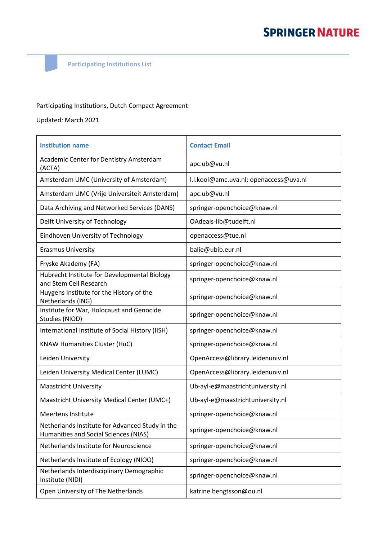**Participating Institutions List**

## Participating Institutions, Dutch Compact Agreement

Updated: March 2021

| <b>Institution name</b>                                                                  | <b>Contact Email</b>                   |
|------------------------------------------------------------------------------------------|----------------------------------------|
| Academic Center for Dentistry Amsterdam<br>(ACTA)                                        | apc.ub@vu.nl                           |
| Amsterdam UMC (University of Amsterdam)                                                  | I.I.kool@amc.uva.nl; openaccess@uva.nl |
| Amsterdam UMC (Vrije Universiteit Amsterdam)                                             | apc.ub@vu.nl                           |
| Data Archiving and Networked Services (DANS)                                             | springer-openchoice@knaw.nl            |
| Delft University of Technology                                                           | OAdeals-lib@tudelft.nl                 |
| Eindhoven University of Technology                                                       | openaccess@tue.nl                      |
| <b>Erasmus University</b>                                                                | balie@ubib.eur.nl                      |
| Fryske Akademy (FA)                                                                      | springer-openchoice@knaw.nl            |
| Hubrecht Institute for Developmental Biology<br>and Stem Cell Research                   | springer-openchoice@knaw.nl            |
| Huygens Institute for the History of the<br>Netherlands (ING)                            | springer-openchoice@knaw.nl            |
| Institute for War, Holocaust and Genocide<br>Studies (NIOD)                              | springer-openchoice@knaw.nl            |
| International Institute of Social History (IISH)                                         | springer-openchoice@knaw.nl            |
| <b>KNAW Humanities Cluster (HuC)</b>                                                     | springer-openchoice@knaw.nl            |
| Leiden University                                                                        | OpenAccess@library.leidenuniv.nl       |
| Leiden University Medical Center (LUMC)                                                  | OpenAccess@library.leidenuniv.nl       |
| <b>Maastricht University</b>                                                             | Ub-ayl-e@maastrichtuniversity.nl       |
| Maastricht University Medical Center (UMC+)                                              | Ub-ayl-e@maastrichtuniversity.nl       |
| <b>Meertens Institute</b>                                                                | springer-openchoice@knaw.nl            |
| Netherlands Institute for Advanced Study in the<br>Humanities and Social Sciences (NIAS) | springer-openchoice@knaw.nl            |
| Netherlands Institute for Neuroscience                                                   | springer-openchoice@knaw.nl            |
| Netherlands Institute of Ecology (NIOO)                                                  | springer-openchoice@knaw.nl            |
| Netherlands Interdisciplinary Demographic<br>Institute (NIDI)                            | springer-openchoice@knaw.nl            |
| Open University of The Netherlands                                                       | katrine.bengtsson@ou.nl                |